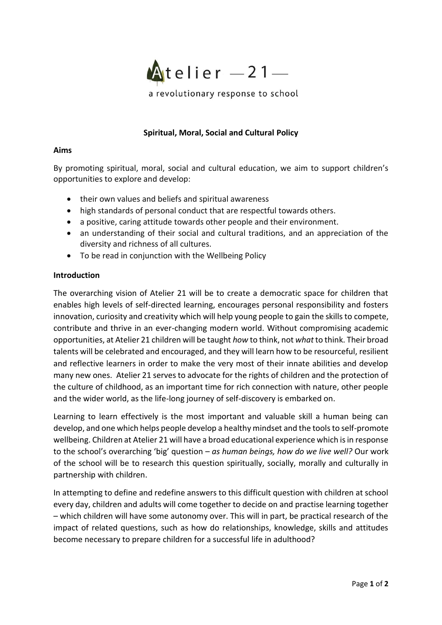

# **Spiritual, Moral, Social and Cultural Policy**

#### **Aims**

By promoting spiritual, moral, social and cultural education, we aim to support children's opportunities to explore and develop:

- their own values and beliefs and spiritual awareness
- high standards of personal conduct that are respectful towards others.
- a positive, caring attitude towards other people and their environment.
- an understanding of their social and cultural traditions, and an appreciation of the diversity and richness of all cultures.
- To be read in conjunction with the Wellbeing Policy

#### **Introduction**

The overarching vision of Atelier 21 will be to create a democratic space for children that enables high levels of self-directed learning, encourages personal responsibility and fosters innovation, curiosity and creativity which will help young people to gain the skills to compete, contribute and thrive in an ever-changing modern world. Without compromising academic opportunities, at Atelier 21 children will be taught *how* to think, not *what* to think. Their broad talents will be celebrated and encouraged, and they will learn how to be resourceful, resilient and reflective learners in order to make the very most of their innate abilities and develop many new ones. Atelier 21 serves to advocate for the rights of children and the protection of the culture of childhood, as an important time for rich connection with nature, other people and the wider world, as the life-long journey of self-discovery is embarked on.

Learning to learn effectively is the most important and valuable skill a human being can develop, and one which helps people develop a healthy mindset and the tools to self-promote wellbeing. Children at Atelier 21 will have a broad educational experience which is in response to the school's overarching 'big' question – *as human beings, how do we live well?* Our work of the school will be to research this question spiritually, socially, morally and culturally in partnership with children.

In attempting to define and redefine answers to this difficult question with children at school every day, children and adults will come together to decide on and practise learning together – which children will have some autonomy over. This will in part, be practical research of the impact of related questions, such as how do relationships, knowledge, skills and attitudes become necessary to prepare children for a successful life in adulthood?